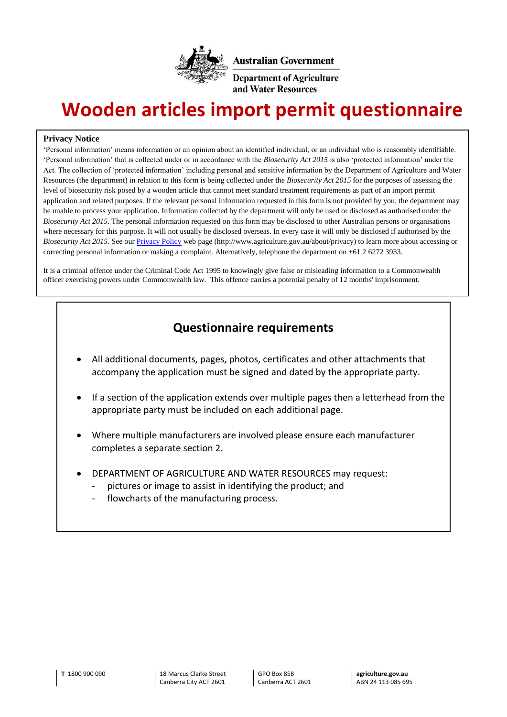

# **Wooden articles import permit questionnaire**

#### **Privacy Notice**

'Personal information' means information or an opinion about an identified individual, or an individual who is reasonably identifiable. 'Personal information' that is collected under or in accordance with the *Biosecurity Act 2015* is also 'protected information' under the Act. The collection of 'protected information' including personal and sensitive information by the Department of Agriculture and Water Resources (the department) in relation to this form is being collected under the *Biosecurity Act 2015* for the purposes of assessing the level of biosecurity risk posed by a wooden article that cannot meet standard treatment requirements as part of an import permit application and related purposes. If the relevant personal information requested in this form is not provided by you, the department may be unable to process your application*.* Information collected by the department will only be used or disclosed as authorised under the *Biosecurity Act 2015*. The personal information requested on this form may be disclosed to other Australian persons or organisations where necessary for this purpose. It will not usually be disclosed overseas. In every case it will only be disclosed if authorised by the *Biosecurity Act 2015*. See our [Privacy Policy](http://www.agriculture.gov.au/about/privacy) web page (http://www.agriculture.gov.au/about/privacy) to learn more about accessing or correcting personal information or making a complaint. Alternatively, telephone the department on +61 2 6272 3933.

It is a criminal offence under the Criminal Code Act 1995 to knowingly give false or misleading information to a Commonwealth officer exercising powers under Commonwealth law. This offence carries a potential penalty of 12 months' imprisonment.

#### **Questionnaire requirements**

- All additional documents, pages, photos, certificates and other attachments that accompany the application must be signed and dated by the appropriate party.
- If a section of the application extends over multiple pages then a letterhead from the appropriate party must be included on each additional page.
- Where multiple manufacturers are involved please ensure each manufacturer completes a separate section 2.
- DEPARTMENT OF AGRICULTURE AND WATER RESOURCES may request:
	- pictures or image to assist in identifying the product; and
	- flowcharts of the manufacturing process.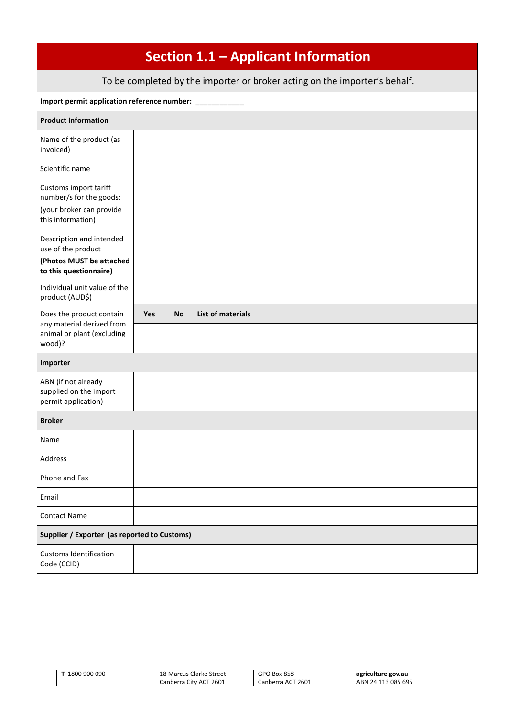| Section 1.1 - Applicant Information                                                                  |            |           |                          |  |  |
|------------------------------------------------------------------------------------------------------|------------|-----------|--------------------------|--|--|
| To be completed by the importer or broker acting on the importer's behalf.                           |            |           |                          |  |  |
| Import permit application reference number: ____                                                     |            |           |                          |  |  |
| <b>Product information</b>                                                                           |            |           |                          |  |  |
| Name of the product (as<br>invoiced)                                                                 |            |           |                          |  |  |
| Scientific name                                                                                      |            |           |                          |  |  |
| Customs import tariff<br>number/s for the goods:<br>(your broker can provide<br>this information)    |            |           |                          |  |  |
| Description and intended<br>use of the product<br>(Photos MUST be attached<br>to this questionnaire) |            |           |                          |  |  |
| Individual unit value of the<br>product (AUD\$)                                                      |            |           |                          |  |  |
| Does the product contain<br>any material derived from                                                | <b>Yes</b> | <b>No</b> | <b>List of materials</b> |  |  |
| animal or plant (excluding<br>wood)?                                                                 |            |           |                          |  |  |
| Importer                                                                                             |            |           |                          |  |  |
| ABN (if not already<br>supplied on the import<br>permit application)                                 |            |           |                          |  |  |
| <b>Broker</b>                                                                                        |            |           |                          |  |  |
| Name                                                                                                 |            |           |                          |  |  |
| Address                                                                                              |            |           |                          |  |  |
| Phone and Fax                                                                                        |            |           |                          |  |  |
| Email                                                                                                |            |           |                          |  |  |
| <b>Contact Name</b>                                                                                  |            |           |                          |  |  |
| Supplier / Exporter (as reported to Customs)                                                         |            |           |                          |  |  |
| <b>Customs Identification</b><br>Code (CCID)                                                         |            |           |                          |  |  |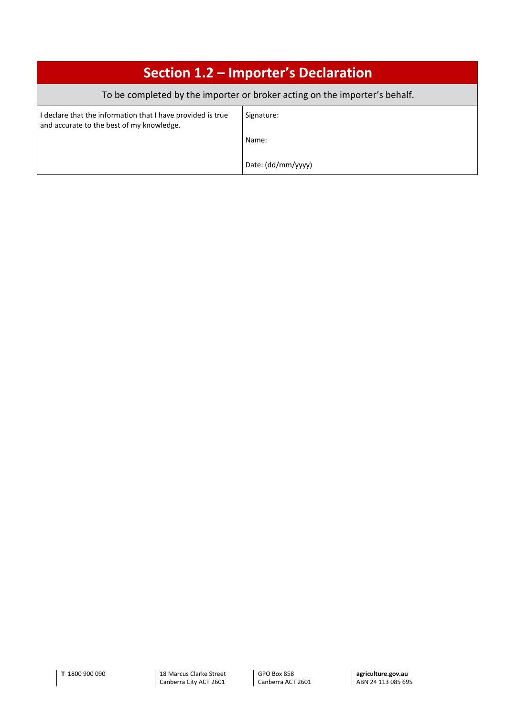| Section 1.2 – Importer's Declaration                                                                     |                    |  |  |  |
|----------------------------------------------------------------------------------------------------------|--------------------|--|--|--|
| To be completed by the importer or broker acting on the importer's behalf.                               |                    |  |  |  |
| I declare that the information that I have provided is true<br>and accurate to the best of my knowledge. | Signature:         |  |  |  |
|                                                                                                          | Name:              |  |  |  |
|                                                                                                          | Date: (dd/mm/yyyy) |  |  |  |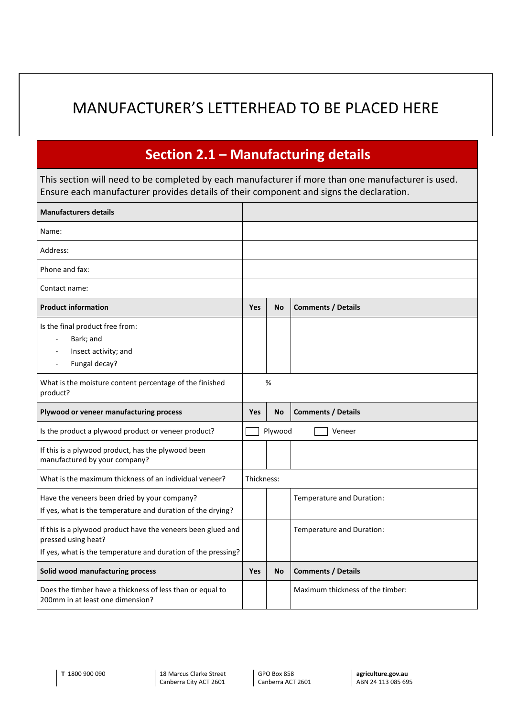## MANUFACTURER'S LETTERHEAD TO BE PLACED HERE

### **Section 2.1 – Manufacturing details**

This section will need to be completed by each manufacturer if more than one manufacturer is used. Ensure each manufacturer provides details of their component and signs the declaration.

| <b>Manufacturers details</b>                                                                                                                         |                   |            |                                  |  |
|------------------------------------------------------------------------------------------------------------------------------------------------------|-------------------|------------|----------------------------------|--|
| Name:                                                                                                                                                |                   |            |                                  |  |
| Address:                                                                                                                                             |                   |            |                                  |  |
| Phone and fax:                                                                                                                                       |                   |            |                                  |  |
| Contact name:                                                                                                                                        |                   |            |                                  |  |
| <b>Product information</b>                                                                                                                           | <b>Yes</b>        | <b>No</b>  | <b>Comments / Details</b>        |  |
| Is the final product free from:<br>Bark; and<br>Insect activity; and<br>Fungal decay?                                                                |                   |            |                                  |  |
| What is the moisture content percentage of the finished<br>product?                                                                                  |                   | %          |                                  |  |
| Plywood or veneer manufacturing process                                                                                                              |                   | <b>No</b>  | <b>Comments / Details</b>        |  |
| Is the product a plywood product or veneer product?                                                                                                  | Plywood<br>Veneer |            |                                  |  |
| If this is a plywood product, has the plywood been<br>manufactured by your company?                                                                  |                   |            |                                  |  |
| What is the maximum thickness of an individual veneer?                                                                                               |                   | Thickness: |                                  |  |
| Have the veneers been dried by your company?<br>If yes, what is the temperature and duration of the drying?                                          |                   |            | Temperature and Duration:        |  |
| If this is a plywood product have the veneers been glued and<br>pressed using heat?<br>If yes, what is the temperature and duration of the pressing? |                   |            | Temperature and Duration:        |  |
| Solid wood manufacturing process                                                                                                                     |                   | <b>No</b>  | <b>Comments / Details</b>        |  |
| Does the timber have a thickness of less than or equal to<br>200mm in at least one dimension?                                                        |                   |            | Maximum thickness of the timber: |  |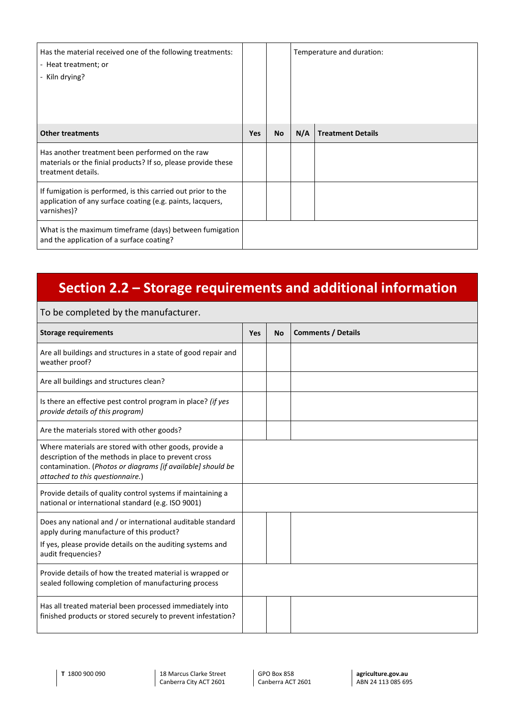| Has the material received one of the following treatments:<br>- Heat treatment; or<br>- Kiln drying?                                      |            |           |     | Temperature and duration: |
|-------------------------------------------------------------------------------------------------------------------------------------------|------------|-----------|-----|---------------------------|
| <b>Other treatments</b>                                                                                                                   | <b>Yes</b> | <b>No</b> | N/A | <b>Treatment Details</b>  |
| Has another treatment been performed on the raw<br>materials or the finial products? If so, please provide these<br>treatment details.    |            |           |     |                           |
| If fumigation is performed, is this carried out prior to the<br>application of any surface coating (e.g. paints, lacquers,<br>varnishes)? |            |           |     |                           |
| What is the maximum timeframe (days) between fumigation<br>and the application of a surface coating?                                      |            |           |     |                           |

### **Section 2.2 – Storage requirements and additional information**

#### To be completed by the manufacturer.

| <b>Storage requirements</b>                                                                                                                                                                                       | Yes | <b>No</b> | <b>Comments / Details</b> |
|-------------------------------------------------------------------------------------------------------------------------------------------------------------------------------------------------------------------|-----|-----------|---------------------------|
| Are all buildings and structures in a state of good repair and<br>weather proof?                                                                                                                                  |     |           |                           |
| Are all buildings and structures clean?                                                                                                                                                                           |     |           |                           |
| Is there an effective pest control program in place? (if yes<br>provide details of this program)                                                                                                                  |     |           |                           |
| Are the materials stored with other goods?                                                                                                                                                                        |     |           |                           |
| Where materials are stored with other goods, provide a<br>description of the methods in place to prevent cross<br>contamination. (Photos or diagrams [if available] should be<br>attached to this questionnaire.) |     |           |                           |
| Provide details of quality control systems if maintaining a<br>national or international standard (e.g. ISO 9001)                                                                                                 |     |           |                           |
| Does any national and / or international auditable standard<br>apply during manufacture of this product?<br>If yes, please provide details on the auditing systems and<br>audit frequencies?                      |     |           |                           |
| Provide details of how the treated material is wrapped or<br>sealed following completion of manufacturing process                                                                                                 |     |           |                           |
| Has all treated material been processed immediately into<br>finished products or stored securely to prevent infestation?                                                                                          |     |           |                           |